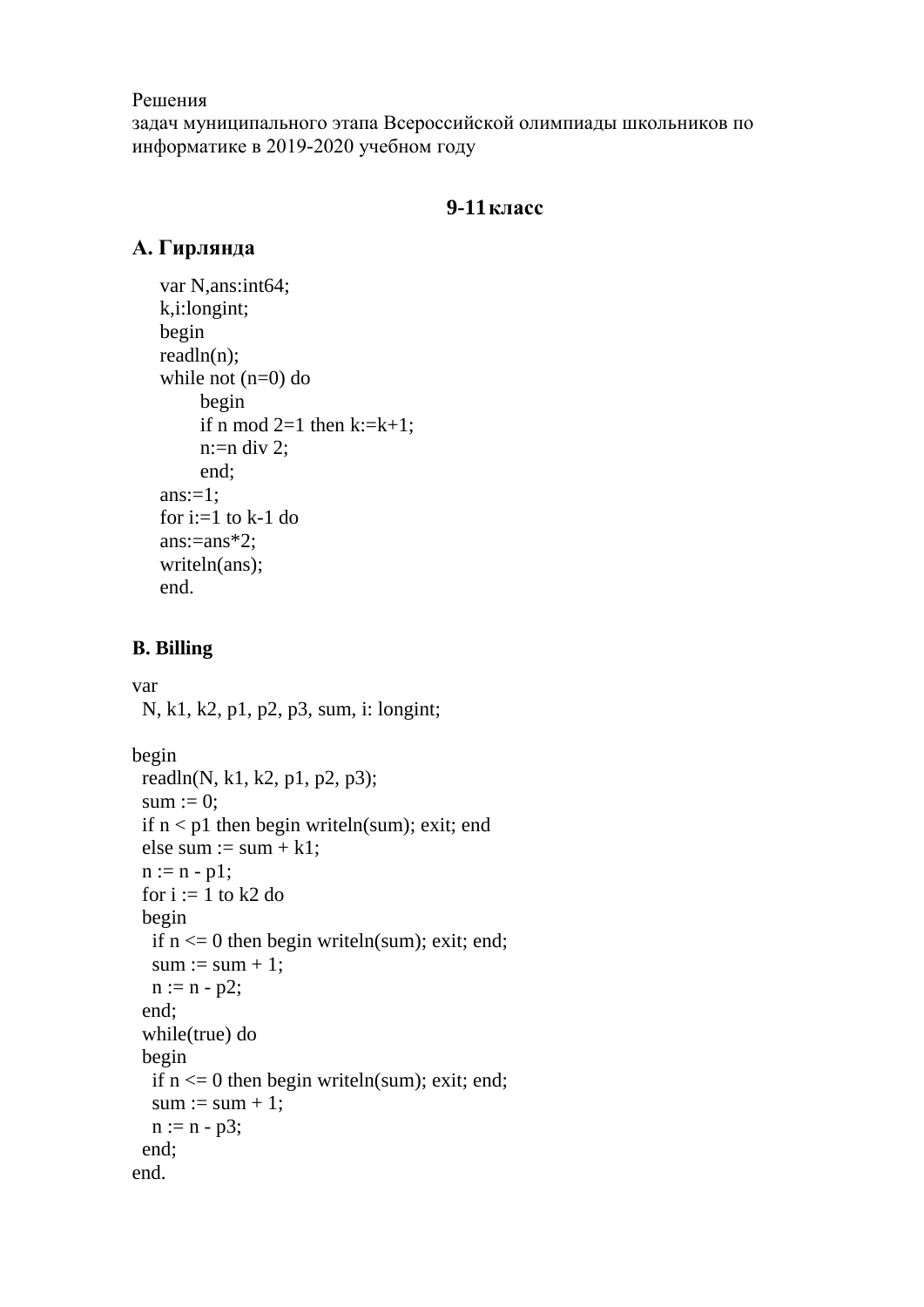#### Решения

задач муниципального этапа Всероссийской олимпиады школьников по информатике в 2019-2020 учебном году

## **9-11класс**

## **А. Гирлянда**

```
var N,ans:int64;
k,i:longint;
begin
readln(n);
while not (n=0) do
      begin
     if n mod 2=1 then k:=k+1;
     n:=n div 2;
      end;
ans:=1;
for i:=1 to k-1 do
ans:=ans*2:
writeln(ans);
end.
```
#### **В. Billing**

```
var
  N, k1, k2, p1, p2, p3, sum, i: longint;
```

```
begin
 readln(N, k1, k2, p1, p2, p3);
 sum := 0:
 if n < p1 then begin writeln(sum); exit; end
 else sum := sum + k1;
 n := n - p1;
 for i := 1 to k2 do
  begin
  if n \leq 0 then begin writeln(sum); exit; end;
  sum := sum + 1;
  n := n - p2; end;
  while(true) do
  begin
  if n \leq 0 then begin writeln(sum); exit; end;
  sum := sum + 1;n := n - p3; end;
end.
```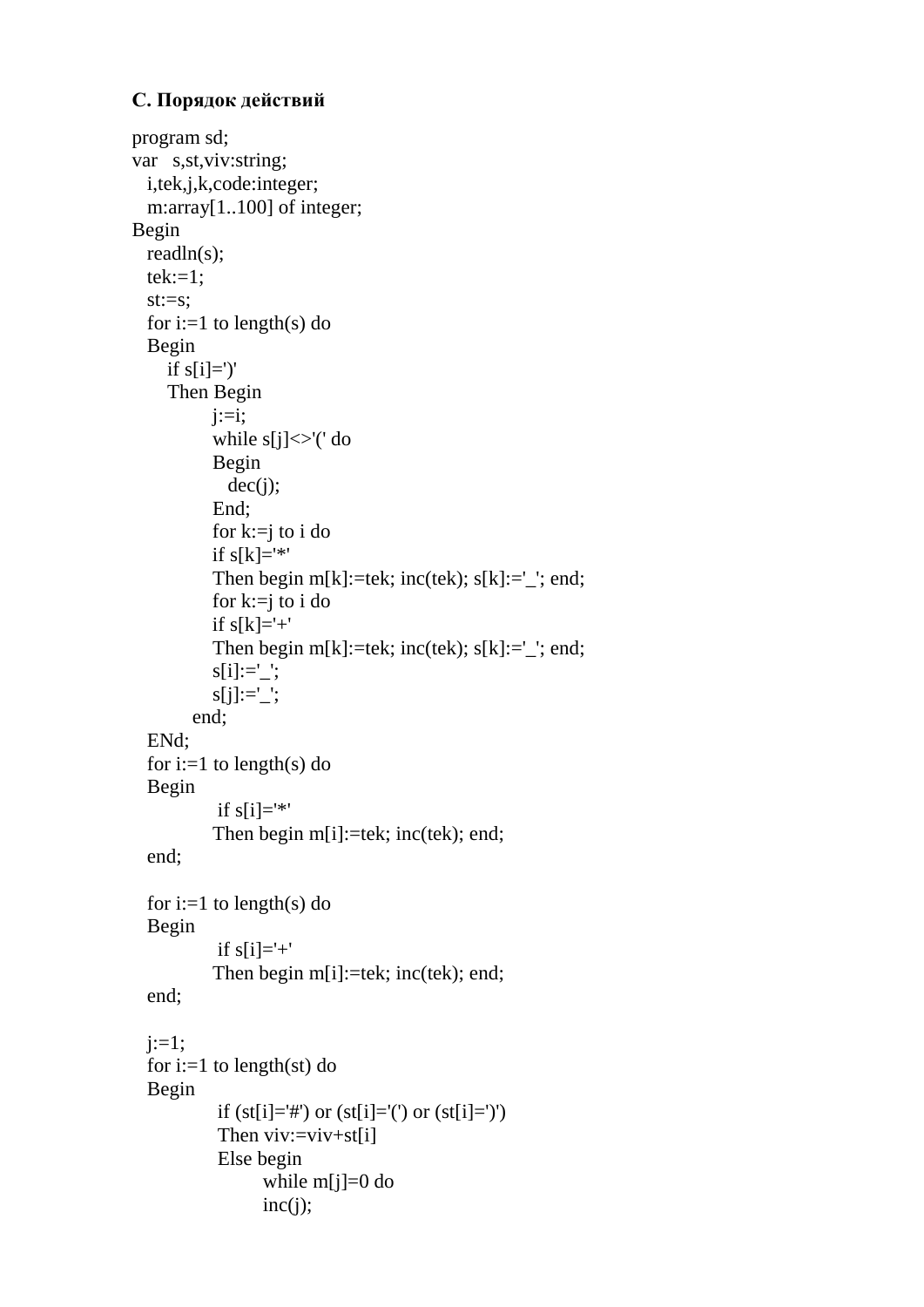# **С. Порядок действий**

```
program sd;
var s,st,viv:string;
  i,tek,j,k,code:integer;
  m:array[1..100] of integer;
Begin
  readln(s);
 tek:=1; st:=s;
 for i:=1 to length(s) do
  Begin
    if s[i]=' Then Begin
          i:=i;
          while s[j] \ll (' \, do Begin
            dec(i);
           End;
          for k:=j to i do
          if s[k]='*'Then begin m[k] :=tek; inc(tek); s[k] := '; end;
           for k:=j to i do
          if s[k]='+'Then begin m[k]:=tek; inc(tek); s[k]:='; end;
          s[i] := ';
          s[j] := ';
        end;
  ENd;
 for i:=1 to length(s) do
  Begin
           if s[i]='*'Then begin m[i]:=tek; inc(tek); end;
  end;
 for i:=1 to length(s) do
   Begin
           if s[i]='+'Then begin m[i]:=tek; inc(tek); end;
  end;
 i:=1;for i:=1 to length(st) do
   Begin
           if (st[i]='#') or (st[i]='(') or (st[i]=')')
           Then viv:=viv+st[i] Else begin
                 while m[i]=0 do
                 inc(i);
```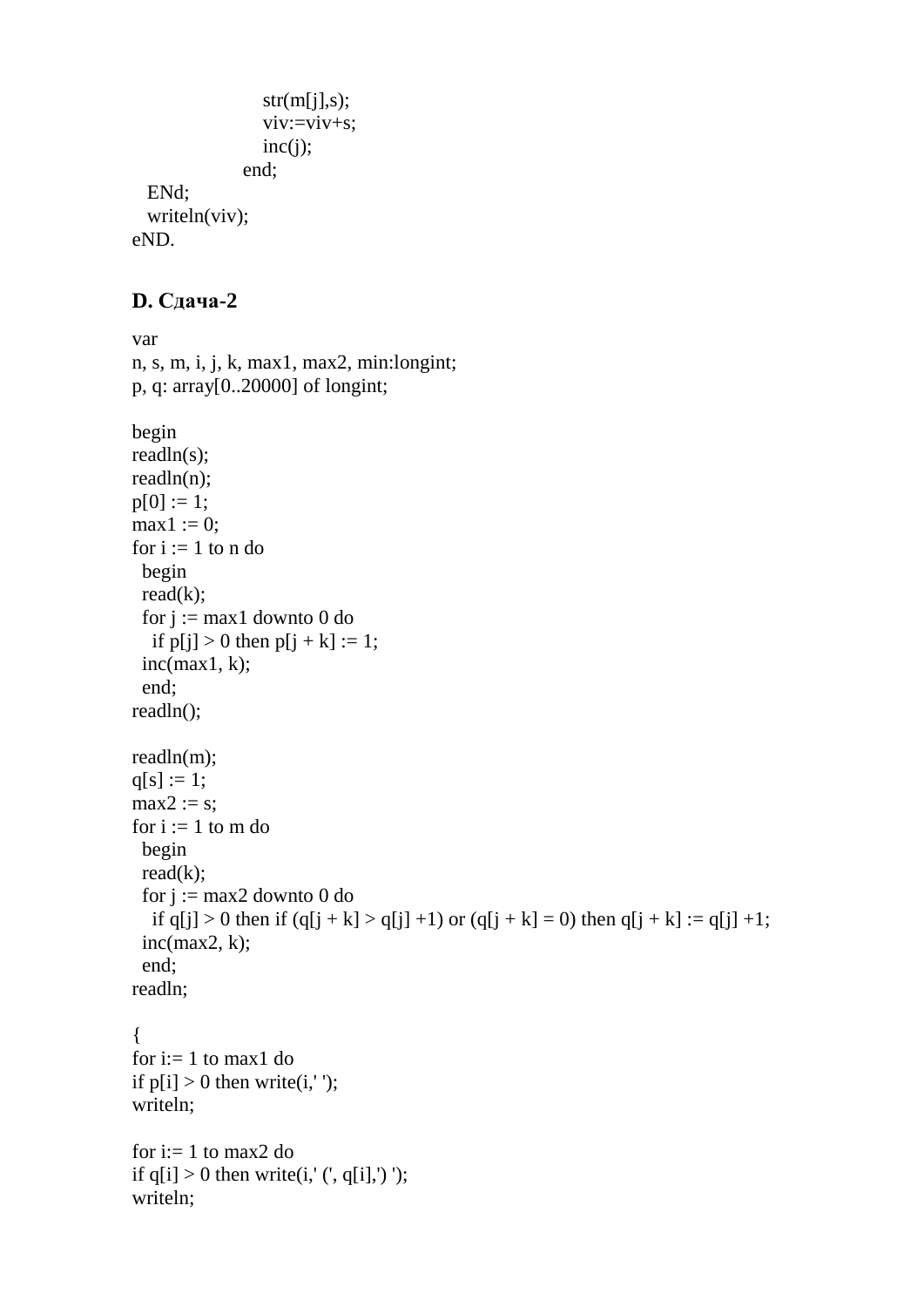```
str(m[i], s);viv:=viv+s;inc(i); end;
 ENd;
 writeln(viv);
```
eND.

### **D. Сдача-2**

```
var
n, s, m, i, j, k, max1, max2, min:longint;
p, q: array[0..20000] of longint;
begin
readln(s);
readln(n);
p[0] := 1;max1 := 0;
for i := 1 to n do
  begin
 read(k);for j := max1 downto 0 do
  if p[i] > 0 then p[i + k] := 1;
 inc(max1, k); end;
readln();
readln(m);
q[s] := 1;max2 := s;
for i := 1 to m do
  begin
 read(k);for j := max2 downto 0 do
  if q[j] > 0 then if (q[j + k] > q[j] + 1) or (q[j + k] = 0) then q[j + k] := q[j] + 1;
 inc(max2, k); end;
readln;
{
for i=1 to max1 do
if p[i] > 0 then write(i,' ');
writeln;
for i=1 to max2 do
if q[i] > 0 then write(i,' (', q[i],')');
writeln;
```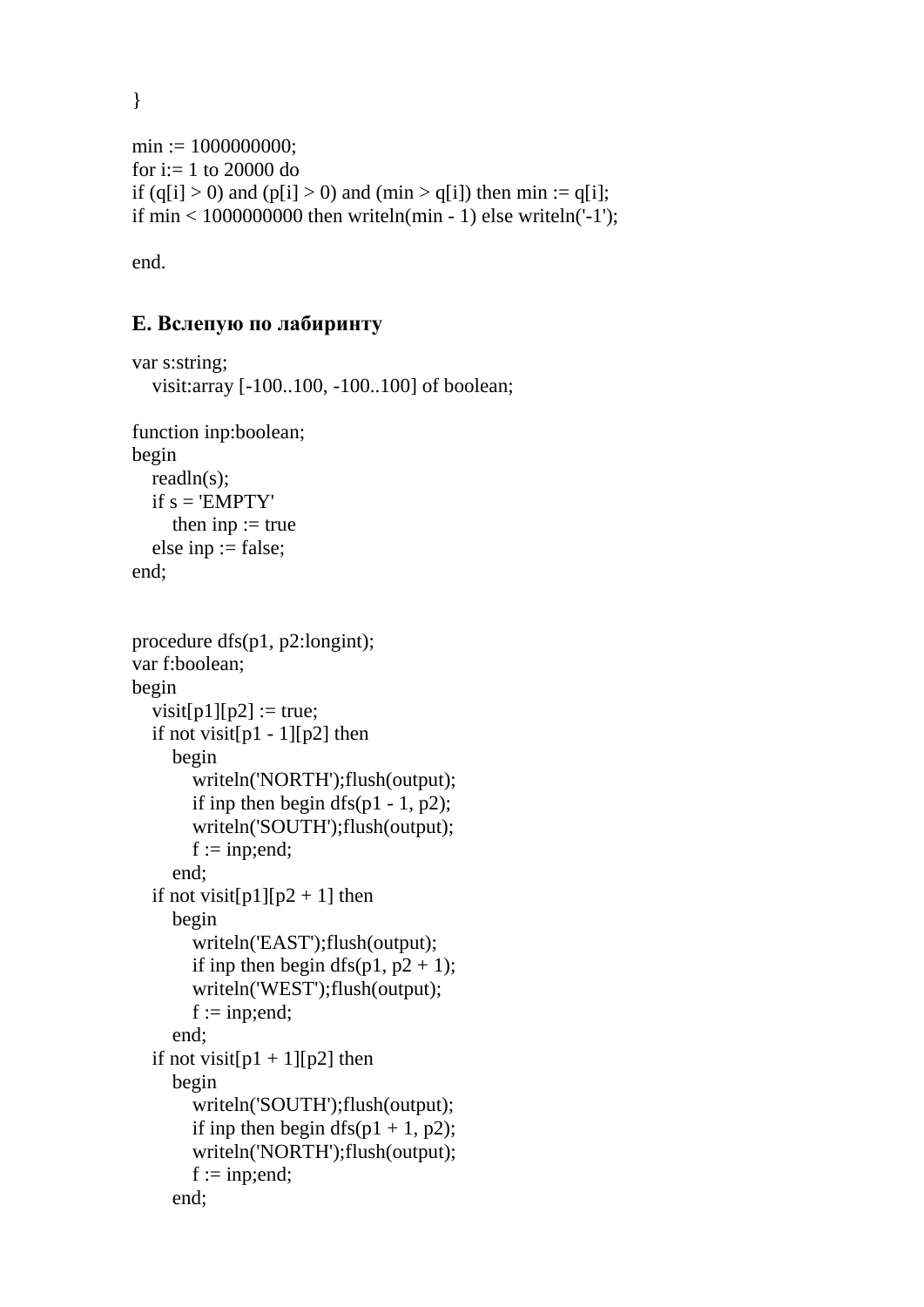}

```
min := 1000000000;
for i:= 1 to 20000 do
if (q[i] > 0) and (p[i] > 0) and (min > q[i]) then min := q[i];
if \min < 1000000000 then writeln(min - 1) else writeln('-1');
```
end.

# **E. Вслепую по лабиринту**

```
var s:string;
   visit:array [-100..100, -100..100] of boolean;
function inp:boolean;
begin
   readln(s);
  if s = 'EMPTY'then inp := true else inp := false; 
end;
procedure dfs(p1, p2:longint);
var f:boolean;
begin
  visit[p1][p2] := true;
  if not visit[p1 - 1][p2] then
      begin
         writeln('NORTH');flush(output);
        if inp then begin dfs(p1 - 1, p2);
         writeln('SOUTH');flush(output);
        f := \text{inp:end}; end;
  if not visit[p1][p2 + 1] then
      begin
         writeln('EAST');flush(output);
        if inp then begin dfs(p1, p2 + 1);
         writeln('WEST');flush(output);
        f := \text{inp:end};
      end;
  if not visit[p1 + 1][p2] then
      begin
         writeln('SOUTH');flush(output);
        if inp then begin dfs(p1 + 1, p2);
         writeln('NORTH');flush(output);
        f := \text{inp:end}; end;
```